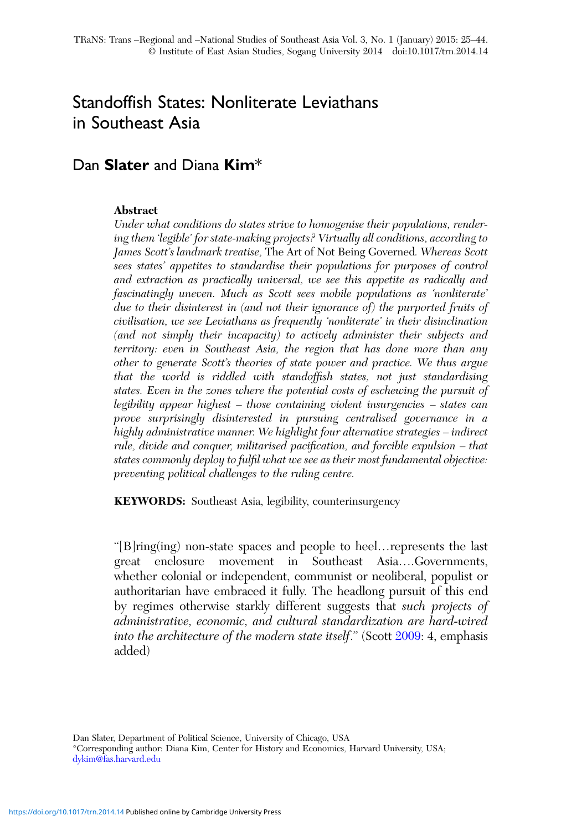# Standoffish States: Nonliterate Leviathans in Southeast Asia

## Dan **Slater** and Diana **Kim**\*

Under what conditions do states strive to homogenise their populations, rendering them 'legible' for state-making projects? Virtually all conditions, according to James Scott's landmark treatise, The Art of Not Being Governed. Whereas Scott sees states' appetites to standardise their populations for purposes of control and extraction as practically universal, we see this appetite as radically and fascinatingly uneven. Much as Scott sees mobile populations as 'nonliterate' due to their disinterest in (and not their ignorance of) the purported fruits of civilisation, we see Leviathans as frequently 'nonliterate' in their disinclination (and not simply their incapacity) to actively administer their subjects and territory: even in Southeast Asia, the region that has done more than any other to generate Scott's theories of state power and practice. We thus argue that the world is riddled with standoffish states, not just standardising states. Even in the zones where the potential costs of eschewing the pursuit of legibility appear highest – those containing violent insurgencies – states can prove surprisingly disinterested in pursuing centralised governance in a highly administrative manner. We highlight four alternative strategies – indirect rule, divide and conquer, militarised pacification, and forcible expulsion – that states commonly deploy to fulfil what we see as their most fundamental objective: preventing political challenges to the ruling centre.

KEYWORDS: Southeast Asia, legibility, counterinsurgency

"[B]ring(ing) non-state spaces and people to heel…represents the last great enclosure movement in Southeast Asia….Governments, whether colonial or independent, communist or neoliberal, populist or authoritarian have embraced it fully. The headlong pursuit of this end by regimes otherwise starkly different suggests that such projects of administrative, economic, and cultural standardization are hard-wired into the architecture of the modern state itself." (Scott [2009:](#page-19-0) 4, emphasis added)

Dan Slater, Department of Political Science, University of Chicago, USA \*Corresponding author: Diana Kim, Center for History and Economics, Harvard University, USA; [dykim@fas.harvard.edu](mailto:dykim@fas.harvard.edu)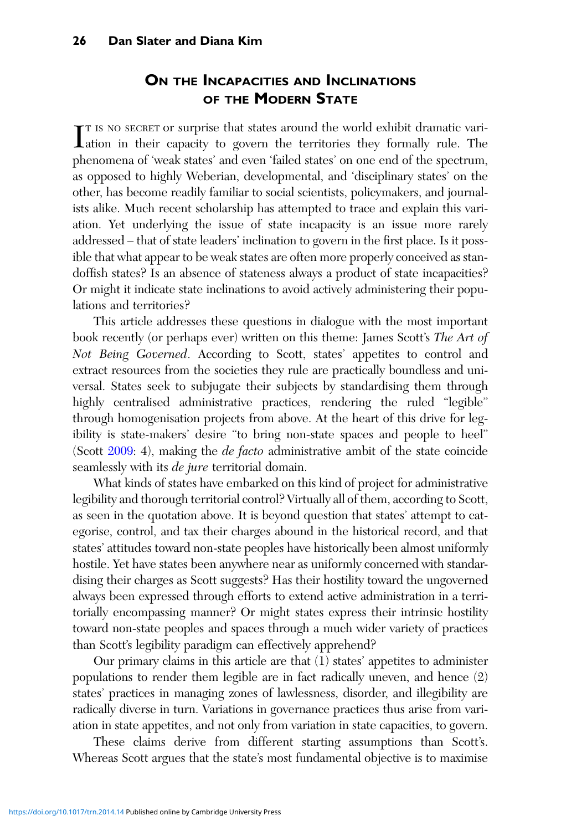## ON THE INCAPACITIES AND INCLINATIONS OF THE MODERN STATE

I Is NO SECRET Or surprise that states around the world exhibit dramatic variation in their capacity to govern the territories they formally rule. The T IS NO SECRET or surprise that states around the world exhibit dramatic variphenomena of 'weak states' and even 'failed states' on one end of the spectrum, as opposed to highly Weberian, developmental, and 'disciplinary states' on the other, has become readily familiar to social scientists, policymakers, and journalists alike. Much recent scholarship has attempted to trace and explain this variation. Yet underlying the issue of state incapacity is an issue more rarely addressed – that of state leaders' inclination to govern in the first place. Is it possible that what appear to be weak states are often more properly conceived as standoffish states? Is an absence of stateness always a product of state incapacities? Or might it indicate state inclinations to avoid actively administering their populations and territories?

This article addresses these questions in dialogue with the most important book recently (or perhaps ever) written on this theme: James Scott's The Art of Not Being Governed. According to Scott, states' appetites to control and extract resources from the societies they rule are practically boundless and universal. States seek to subjugate their subjects by standardising them through highly centralised administrative practices, rendering the ruled "legible" through homogenisation projects from above. At the heart of this drive for legibility is state-makers' desire "to bring non-state spaces and people to heel" (Scott [2009](#page-19-0): 4), making the *de facto* administrative ambit of the state coincide seamlessly with its *de jure* territorial domain.

What kinds of states have embarked on this kind of project for administrative legibility and thorough territorial control? Virtually all of them, according to Scott, as seen in the quotation above. It is beyond question that states' attempt to categorise, control, and tax their charges abound in the historical record, and that states' attitudes toward non-state peoples have historically been almost uniformly hostile. Yet have states been anywhere near as uniformly concerned with standardising their charges as Scott suggests? Has their hostility toward the ungoverned always been expressed through efforts to extend active administration in a territorially encompassing manner? Or might states express their intrinsic hostility toward non-state peoples and spaces through a much wider variety of practices than Scott's legibility paradigm can effectively apprehend?

Our primary claims in this article are that (1) states' appetites to administer populations to render them legible are in fact radically uneven, and hence (2) states' practices in managing zones of lawlessness, disorder, and illegibility are radically diverse in turn. Variations in governance practices thus arise from variation in state appetites, and not only from variation in state capacities, to govern.

These claims derive from different starting assumptions than Scott's. Whereas Scott argues that the state's most fundamental objective is to maximise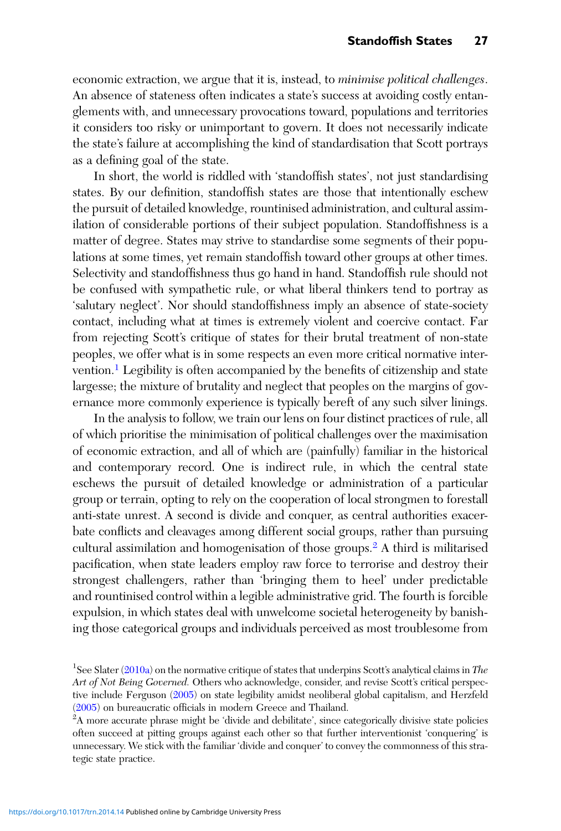economic extraction, we argue that it is, instead, to *minimise political challenges*. An absence of stateness often indicates a state's success at avoiding costly entanglements with, and unnecessary provocations toward, populations and territories it considers too risky or unimportant to govern. It does not necessarily indicate the state's failure at accomplishing the kind of standardisation that Scott portrays as a defining goal of the state.

In short, the world is riddled with 'standoffish states', not just standardising states. By our definition, standoffish states are those that intentionally eschew the pursuit of detailed knowledge, rountinised administration, and cultural assimilation of considerable portions of their subject population. Standoffishness is a matter of degree. States may strive to standardise some segments of their populations at some times, yet remain standoffish toward other groups at other times. Selectivity and standoffishness thus go hand in hand. Standoffish rule should not be confused with sympathetic rule, or what liberal thinkers tend to portray as 'salutary neglect'. Nor should standoffishness imply an absence of state-society contact, including what at times is extremely violent and coercive contact. Far from rejecting Scott's critique of states for their brutal treatment of non-state peoples, we offer what is in some respects an even more critical normative intervention.<sup>1</sup> Legibility is often accompanied by the benefits of citizenship and state largesse; the mixture of brutality and neglect that peoples on the margins of governance more commonly experience is typically bereft of any such silver linings.

In the analysis to follow, we train our lens on four distinct practices of rule, all of which prioritise the minimisation of political challenges over the maximisation of economic extraction, and all of which are (painfully) familiar in the historical and contemporary record. One is indirect rule, in which the central state eschews the pursuit of detailed knowledge or administration of a particular group or terrain, opting to rely on the cooperation of local strongmen to forestall anti-state unrest. A second is divide and conquer, as central authorities exacerbate conflicts and cleavages among different social groups, rather than pursuing cultural assimilation and homogenisation of those groups.<sup>2</sup> A third is militarised pacification, when state leaders employ raw force to terrorise and destroy their strongest challengers, rather than 'bringing them to heel' under predictable and rountinised control within a legible administrative grid. The fourth is forcible expulsion, in which states deal with unwelcome societal heterogeneity by banishing those categorical groups and individuals perceived as most troublesome from

<sup>&</sup>lt;sup>1</sup>See Slater ([2010a\)](#page-19-0) on the normative critique of states that underpins Scott's analytical claims in The Art of Not Being Governed. Others who acknowledge, consider, and revise Scott's critical perspective include Ferguson [\(2005\)](#page-18-0) on state legibility amidst neoliberal global capitalism, and Herzfeld ([2005\)](#page-18-0) on bureaucratic officials in modern Greece and Thailand. <sup>2</sup>

 ${}^{2}$ A more accurate phrase might be 'divide and debilitate', since categorically divisive state policies often succeed at pitting groups against each other so that further interventionist 'conquering' is unnecessary. We stick with the familiar 'divide and conquer' to convey the commonness of this strategic state practice.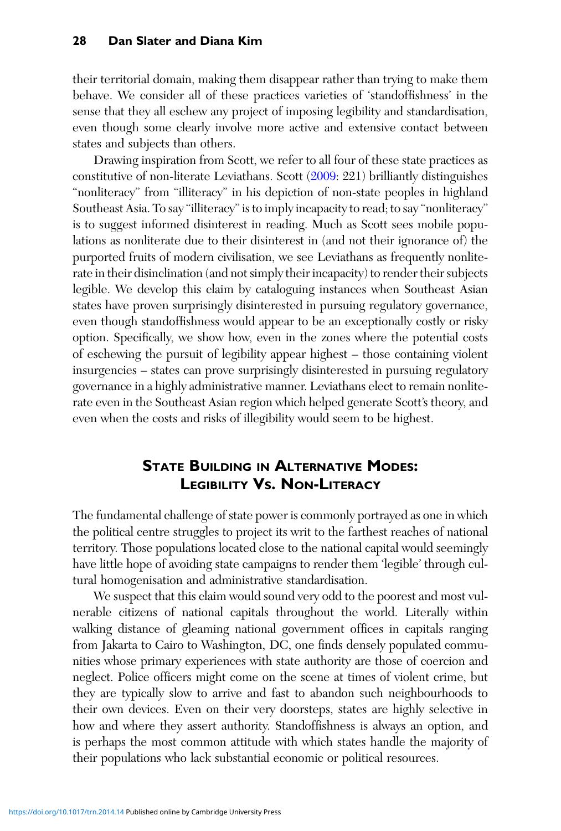their territorial domain, making them disappear rather than trying to make them behave. We consider all of these practices varieties of 'standoffishness' in the sense that they all eschew any project of imposing legibility and standardisation, even though some clearly involve more active and extensive contact between states and subjects than others.

Drawing inspiration from Scott, we refer to all four of these state practices as constitutive of non-literate Leviathans. Scott [\(2009](#page-19-0): 221) brilliantly distinguishes "nonliteracy" from "illiteracy" in his depiction of non-state peoples in highland Southeast Asia. To say "illiteracy"is to imply incapacity to read; to say "nonliteracy" is to suggest informed disinterest in reading. Much as Scott sees mobile populations as nonliterate due to their disinterest in (and not their ignorance of) the purported fruits of modern civilisation, we see Leviathans as frequently nonliterate in their disinclination (and not simply their incapacity) to render their subjects legible. We develop this claim by cataloguing instances when Southeast Asian states have proven surprisingly disinterested in pursuing regulatory governance, even though standoffishness would appear to be an exceptionally costly or risky option. Specifically, we show how, even in the zones where the potential costs of eschewing the pursuit of legibility appear highest – those containing violent insurgencies – states can prove surprisingly disinterested in pursuing regulatory governance in a highly administrative manner. Leviathans elect to remain nonliterate even in the Southeast Asian region which helped generate Scott's theory, and even when the costs and risks of illegibility would seem to be highest.

## STATE BUILDING IN ALTERNATIVE MODES: LEGIBILITY VS. NON-LITERACY

The fundamental challenge of state power is commonly portrayed as one in which the political centre struggles to project its writ to the farthest reaches of national territory. Those populations located close to the national capital would seemingly have little hope of avoiding state campaigns to render them 'legible' through cultural homogenisation and administrative standardisation.

We suspect that this claim would sound very odd to the poorest and most vulnerable citizens of national capitals throughout the world. Literally within walking distance of gleaming national government offices in capitals ranging from Jakarta to Cairo to Washington, DC, one finds densely populated communities whose primary experiences with state authority are those of coercion and neglect. Police officers might come on the scene at times of violent crime, but they are typically slow to arrive and fast to abandon such neighbourhoods to their own devices. Even on their very doorsteps, states are highly selective in how and where they assert authority. Standoffishness is always an option, and is perhaps the most common attitude with which states handle the majority of their populations who lack substantial economic or political resources.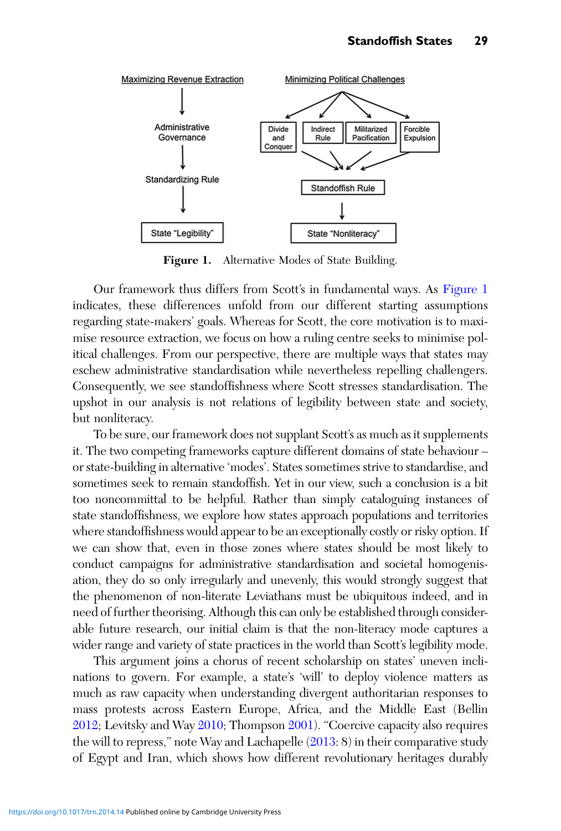

Figure 1. Alternative Modes of State Building.

Our framework thus differs from Scott's in fundamental ways. As Figure 1 indicates, these differences unfold from our different starting assumptions regarding state-makers' goals. Whereas for Scott, the core motivation is to maximise resource extraction, we focus on how a ruling centre seeks to minimise political challenges. From our perspective, there are multiple ways that states may eschew administrative standardisation while nevertheless repelling challengers. Consequently, we see standoffishness where Scott stresses standardisation. The upshot in our analysis is not relations of legibility between state and society, but nonliteracy.

To be sure, our framework does not supplant Scott's as much as it supplements it. The two competing frameworks capture different domains of state behaviour – or state-building in alternative 'modes'. States sometimes strive to standardise, and sometimes seek to remain standoffish. Yet in our view, such a conclusion is a bit too noncommittal to be helpful. Rather than simply cataloguing instances of state standoffishness, we explore how states approach populations and territories where standoffishness would appear to be an exceptionally costly or risky option. If we can show that, even in those zones where states should be most likely to conduct campaigns for administrative standardisation and societal homogenisation, they do so only irregularly and unevenly, this would strongly suggest that the phenomenon of non-literate Leviathans must be ubiquitous indeed, and in need of further theorising. Although this can only be established through considerable future research, our initial claim is that the non-literacy mode captures a wider range and variety of state practices in the world than Scott's legibility mode.

This argument joins a chorus of recent scholarship on states' uneven inclinations to govern. For example, a state's 'will' to deploy violence matters as much as raw capacity when understanding divergent authoritarian responses to mass protests across Eastern Europe, Africa, and the Middle East (Bellin [2012;](#page-17-0) Levitsky and Way [2010](#page-18-0); Thompson [2001\)](#page-19-0). "Coercive capacity also requires the will to repress," note Way and Lachapelle ([2013:](#page-18-0) 8) in their comparative study of Egypt and Iran, which shows how different revolutionary heritages durably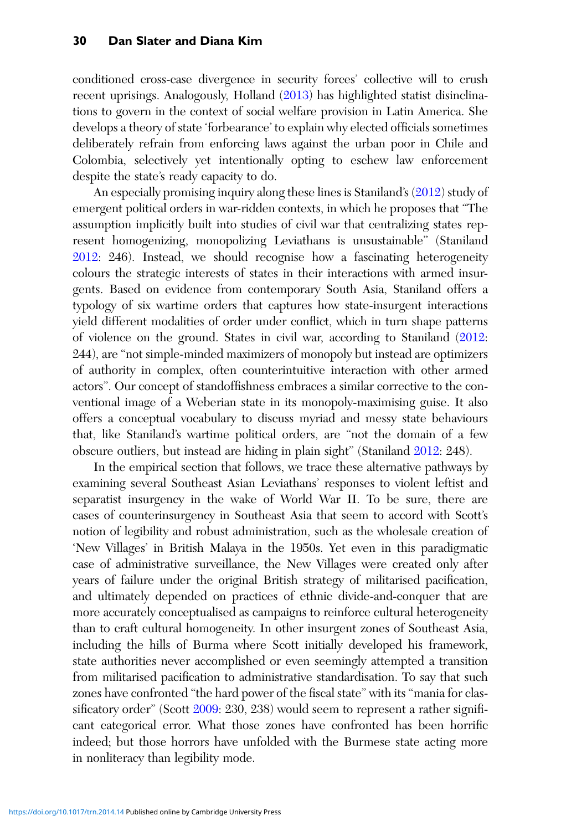conditioned cross-case divergence in security forces' collective will to crush recent uprisings. Analogously, Holland ([2013\)](#page-18-0) has highlighted statist disinclinations to govern in the context of social welfare provision in Latin America. She develops a theory of state 'forbearance' to explain why elected officials sometimes deliberately refrain from enforcing laws against the urban poor in Chile and Colombia, selectively yet intentionally opting to eschew law enforcement despite the state's ready capacity to do.

An especially promising inquiry along these lines is Staniland's [\(2012](#page-19-0)) study of emergent political orders in war-ridden contexts, in which he proposes that "The assumption implicitly built into studies of civil war that centralizing states represent homogenizing, monopolizing Leviathans is unsustainable" (Staniland [2012:](#page-19-0) 246). Instead, we should recognise how a fascinating heterogeneity colours the strategic interests of states in their interactions with armed insurgents. Based on evidence from contemporary South Asia, Staniland offers a typology of six wartime orders that captures how state-insurgent interactions yield different modalities of order under conflict, which in turn shape patterns of violence on the ground. States in civil war, according to Staniland [\(2012](#page-19-0): 244), are "not simple-minded maximizers of monopoly but instead are optimizers of authority in complex, often counterintuitive interaction with other armed actors". Our concept of standoffishness embraces a similar corrective to the conventional image of a Weberian state in its monopoly-maximising guise. It also offers a conceptual vocabulary to discuss myriad and messy state behaviours that, like Staniland's wartime political orders, are "not the domain of a few obscure outliers, but instead are hiding in plain sight" (Staniland [2012:](#page-19-0) 248).

In the empirical section that follows, we trace these alternative pathways by examining several Southeast Asian Leviathans' responses to violent leftist and separatist insurgency in the wake of World War II. To be sure, there are cases of counterinsurgency in Southeast Asia that seem to accord with Scott's notion of legibility and robust administration, such as the wholesale creation of 'New Villages' in British Malaya in the 1950s. Yet even in this paradigmatic case of administrative surveillance, the New Villages were created only after years of failure under the original British strategy of militarised pacification, and ultimately depended on practices of ethnic divide-and-conquer that are more accurately conceptualised as campaigns to reinforce cultural heterogeneity than to craft cultural homogeneity. In other insurgent zones of Southeast Asia, including the hills of Burma where Scott initially developed his framework, state authorities never accomplished or even seemingly attempted a transition from militarised pacification to administrative standardisation. To say that such zones have confronted "the hard power of the fiscal state" with its "mania for clas-sificatory order" (Scott [2009](#page-19-0): 230, 238) would seem to represent a rather significant categorical error. What those zones have confronted has been horrific indeed; but those horrors have unfolded with the Burmese state acting more in nonliteracy than legibility mode.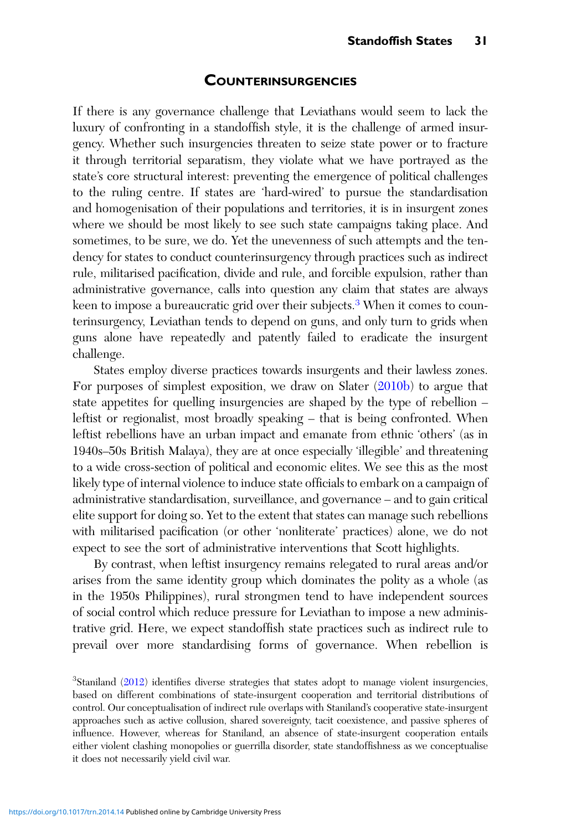#### **COUNTERINSURGENCIES**

If there is any governance challenge that Leviathans would seem to lack the luxury of confronting in a standoffish style, it is the challenge of armed insurgency. Whether such insurgencies threaten to seize state power or to fracture it through territorial separatism, they violate what we have portrayed as the state's core structural interest: preventing the emergence of political challenges to the ruling centre. If states are 'hard-wired' to pursue the standardisation and homogenisation of their populations and territories, it is in insurgent zones where we should be most likely to see such state campaigns taking place. And sometimes, to be sure, we do. Yet the unevenness of such attempts and the tendency for states to conduct counterinsurgency through practices such as indirect rule, militarised pacification, divide and rule, and forcible expulsion, rather than administrative governance, calls into question any claim that states are always keen to impose a bureaucratic grid over their subjects.<sup>3</sup> When it comes to counterinsurgency, Leviathan tends to depend on guns, and only turn to grids when guns alone have repeatedly and patently failed to eradicate the insurgent challenge.

States employ diverse practices towards insurgents and their lawless zones. For purposes of simplest exposition, we draw on Slater [\(2010b](#page-19-0)) to argue that state appetites for quelling insurgencies are shaped by the type of rebellion – leftist or regionalist, most broadly speaking – that is being confronted. When leftist rebellions have an urban impact and emanate from ethnic 'others' (as in 1940s–50s British Malaya), they are at once especially 'illegible' and threatening to a wide cross-section of political and economic elites. We see this as the most likely type of internal violence to induce state officials to embark on a campaign of administrative standardisation, surveillance, and governance – and to gain critical elite support for doing so. Yet to the extent that states can manage such rebellions with militarised pacification (or other 'nonliterate' practices) alone, we do not expect to see the sort of administrative interventions that Scott highlights.

By contrast, when leftist insurgency remains relegated to rural areas and/or arises from the same identity group which dominates the polity as a whole (as in the 1950s Philippines), rural strongmen tend to have independent sources of social control which reduce pressure for Leviathan to impose a new administrative grid. Here, we expect standoffish state practices such as indirect rule to prevail over more standardising forms of governance. When rebellion is

 $3$ Staniland [\(2012](#page-19-0)) identifies diverse strategies that states adopt to manage violent insurgencies, based on different combinations of state-insurgent cooperation and territorial distributions of control. Our conceptualisation of indirect rule overlaps with Staniland's cooperative state-insurgent approaches such as active collusion, shared sovereignty, tacit coexistence, and passive spheres of influence. However, whereas for Staniland, an absence of state-insurgent cooperation entails either violent clashing monopolies or guerrilla disorder, state standoffishness as we conceptualise it does not necessarily yield civil war.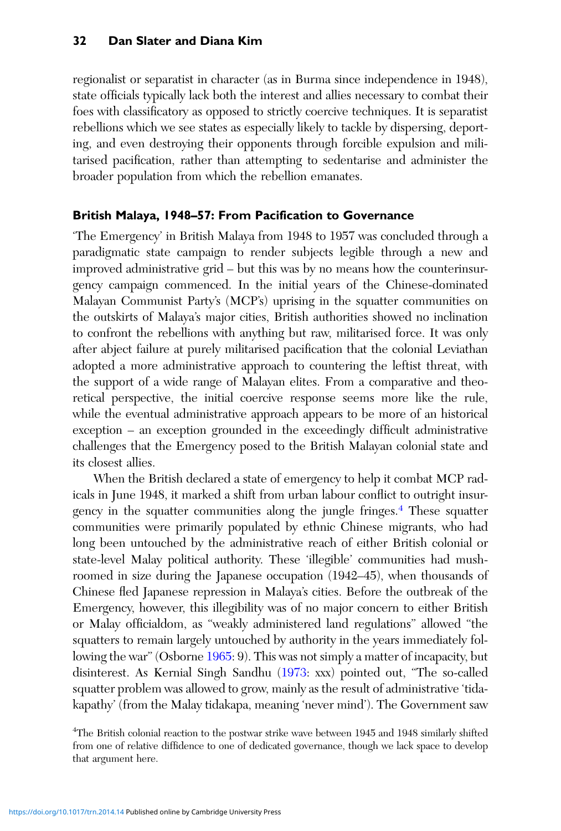regionalist or separatist in character (as in Burma since independence in 1948), state officials typically lack both the interest and allies necessary to combat their foes with classificatory as opposed to strictly coercive techniques. It is separatist rebellions which we see states as especially likely to tackle by dispersing, deporting, and even destroying their opponents through forcible expulsion and militarised pacification, rather than attempting to sedentarise and administer the broader population from which the rebellion emanates.

#### British Malaya, 1948–57: From Pacification to Governance

'The Emergency' in British Malaya from 1948 to 1957 was concluded through a paradigmatic state campaign to render subjects legible through a new and improved administrative grid – but this was by no means how the counterinsurgency campaign commenced. In the initial years of the Chinese-dominated Malayan Communist Party's (MCP's) uprising in the squatter communities on the outskirts of Malaya's major cities, British authorities showed no inclination to confront the rebellions with anything but raw, militarised force. It was only after abject failure at purely militarised pacification that the colonial Leviathan adopted a more administrative approach to countering the leftist threat, with the support of a wide range of Malayan elites. From a comparative and theoretical perspective, the initial coercive response seems more like the rule, while the eventual administrative approach appears to be more of an historical exception – an exception grounded in the exceedingly difficult administrative challenges that the Emergency posed to the British Malayan colonial state and its closest allies.

When the British declared a state of emergency to help it combat MCP radicals in June 1948, it marked a shift from urban labour conflict to outright insurgency in the squatter communities along the jungle fringes.<sup>4</sup> These squatter communities were primarily populated by ethnic Chinese migrants, who had long been untouched by the administrative reach of either British colonial or state-level Malay political authority. These 'illegible' communities had mushroomed in size during the Japanese occupation (1942–45), when thousands of Chinese fled Japanese repression in Malaya's cities. Before the outbreak of the Emergency, however, this illegibility was of no major concern to either British or Malay officialdom, as "weakly administered land regulations" allowed "the squatters to remain largely untouched by authority in the years immediately following the war" (Osborne [1965:](#page-19-0) 9). This was not simply a matter of incapacity, but disinterest. As Kernial Singh Sandhu ([1973:](#page-19-0) xxx) pointed out, "The so-called squatter problem was allowed to grow, mainly as the result of administrative 'tidakapathy' (from the Malay tidakapa, meaning 'never mind'). The Government saw

<sup>&</sup>lt;sup>4</sup>The British colonial reaction to the postwar strike wave between 1945 and 1948 similarly shifted from one of relative diffidence to one of dedicated governance, though we lack space to develop that argument here.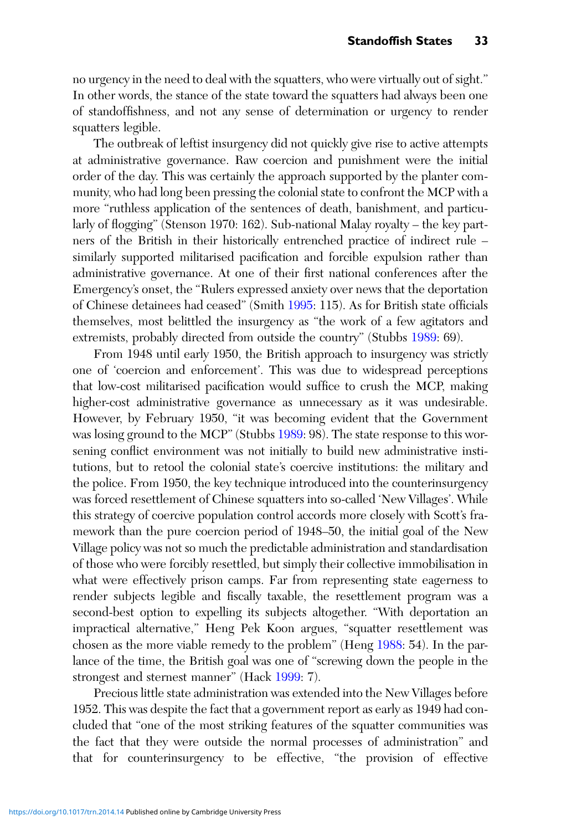no urgency in the need to deal with the squatters, who were virtually out of sight." In other words, the stance of the state toward the squatters had always been one of standoffishness, and not any sense of determination or urgency to render squatters legible.

The outbreak of leftist insurgency did not quickly give rise to active attempts at administrative governance. Raw coercion and punishment were the initial order of the day. This was certainly the approach supported by the planter community, who had long been pressing the colonial state to confront the MCP with a more "ruthless application of the sentences of death, banishment, and particularly of flogging" (Stenson 1970: 162). Sub-national Malay royalty – the key partners of the British in their historically entrenched practice of indirect rule – similarly supported militarised pacification and forcible expulsion rather than administrative governance. At one of their first national conferences after the Emergency's onset, the "Rulers expressed anxiety over news that the deportation of Chinese detainees had ceased" (Smith [1995](#page-19-0): 115). As for British state officials themselves, most belittled the insurgency as "the work of a few agitators and extremists, probably directed from outside the country" (Stubbs [1989](#page-19-0): 69).

From 1948 until early 1950, the British approach to insurgency was strictly one of 'coercion and enforcement'. This was due to widespread perceptions that low-cost militarised pacification would suffice to crush the MCP, making higher-cost administrative governance as unnecessary as it was undesirable. However, by February 1950, "it was becoming evident that the Government was losing ground to the MCP" (Stubbs [1989:](#page-19-0) 98). The state response to this worsening conflict environment was not initially to build new administrative institutions, but to retool the colonial state's coercive institutions: the military and the police. From 1950, the key technique introduced into the counterinsurgency was forced resettlement of Chinese squatters into so-called 'New Villages'. While this strategy of coercive population control accords more closely with Scott's framework than the pure coercion period of 1948–50, the initial goal of the New Village policy was not so much the predictable administration and standardisation of those who were forcibly resettled, but simply their collective immobilisation in what were effectively prison camps. Far from representing state eagerness to render subjects legible and fiscally taxable, the resettlement program was a second-best option to expelling its subjects altogether. "With deportation an impractical alternative," Heng Pek Koon argues, "squatter resettlement was chosen as the more viable remedy to the problem" (Heng [1988:](#page-18-0) 54). In the parlance of the time, the British goal was one of "screwing down the people in the strongest and sternest manner" (Hack [1999](#page-18-0): 7).

Precious little state administration was extended into the New Villages before 1952. This was despite the fact that a government report as early as 1949 had concluded that "one of the most striking features of the squatter communities was the fact that they were outside the normal processes of administration" and that for counterinsurgency to be effective, "the provision of effective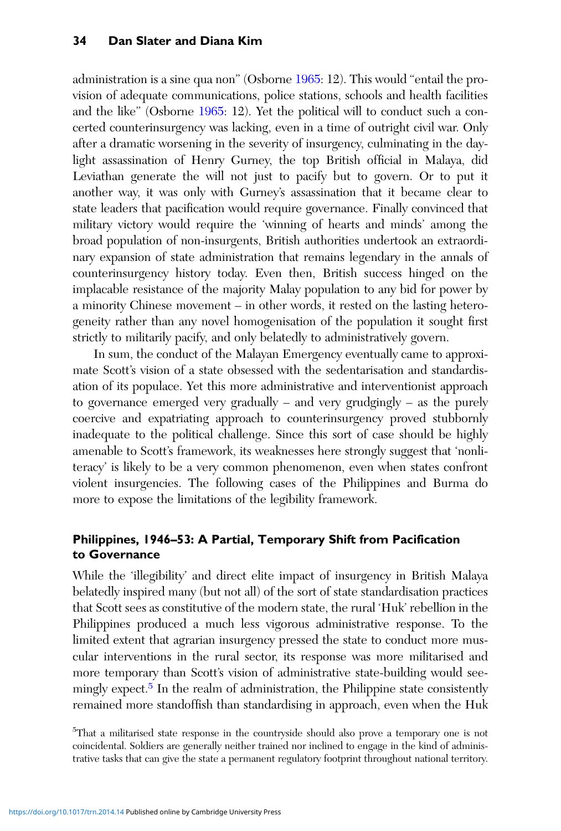administration is a sine qua non" (Osborne [1965:](#page-19-0) 12). This would "entail the provision of adequate communications, police stations, schools and health facilities and the like" (Osborne [1965](#page-19-0): 12). Yet the political will to conduct such a concerted counterinsurgency was lacking, even in a time of outright civil war. Only after a dramatic worsening in the severity of insurgency, culminating in the daylight assassination of Henry Gurney, the top British official in Malaya, did Leviathan generate the will not just to pacify but to govern. Or to put it another way, it was only with Gurney's assassination that it became clear to state leaders that pacification would require governance. Finally convinced that military victory would require the 'winning of hearts and minds' among the broad population of non-insurgents, British authorities undertook an extraordinary expansion of state administration that remains legendary in the annals of counterinsurgency history today. Even then, British success hinged on the implacable resistance of the majority Malay population to any bid for power by a minority Chinese movement – in other words, it rested on the lasting heterogeneity rather than any novel homogenisation of the population it sought first strictly to militarily pacify, and only belatedly to administratively govern.

In sum, the conduct of the Malayan Emergency eventually came to approximate Scott's vision of a state obsessed with the sedentarisation and standardisation of its populace. Yet this more administrative and interventionist approach to governance emerged very gradually – and very grudgingly – as the purely coercive and expatriating approach to counterinsurgency proved stubbornly inadequate to the political challenge. Since this sort of case should be highly amenable to Scott's framework, its weaknesses here strongly suggest that 'nonliteracy' is likely to be a very common phenomenon, even when states confront violent insurgencies. The following cases of the Philippines and Burma do more to expose the limitations of the legibility framework.

## Philippines, 1946–53: A Partial, Temporary Shift from Pacification to Governance

While the 'illegibility' and direct elite impact of insurgency in British Malaya belatedly inspired many (but not all) of the sort of state standardisation practices that Scott sees as constitutive of the modern state, the rural 'Huk' rebellion in the Philippines produced a much less vigorous administrative response. To the limited extent that agrarian insurgency pressed the state to conduct more muscular interventions in the rural sector, its response was more militarised and more temporary than Scott's vision of administrative state-building would seemingly expect.<sup>5</sup> In the realm of administration, the Philippine state consistently remained more standoffish than standardising in approach, even when the Huk

<sup>&</sup>lt;sup>5</sup>That a militarised state response in the countryside should also prove a temporary one is not coincidental. Soldiers are generally neither trained nor inclined to engage in the kind of administrative tasks that can give the state a permanent regulatory footprint throughout national territory.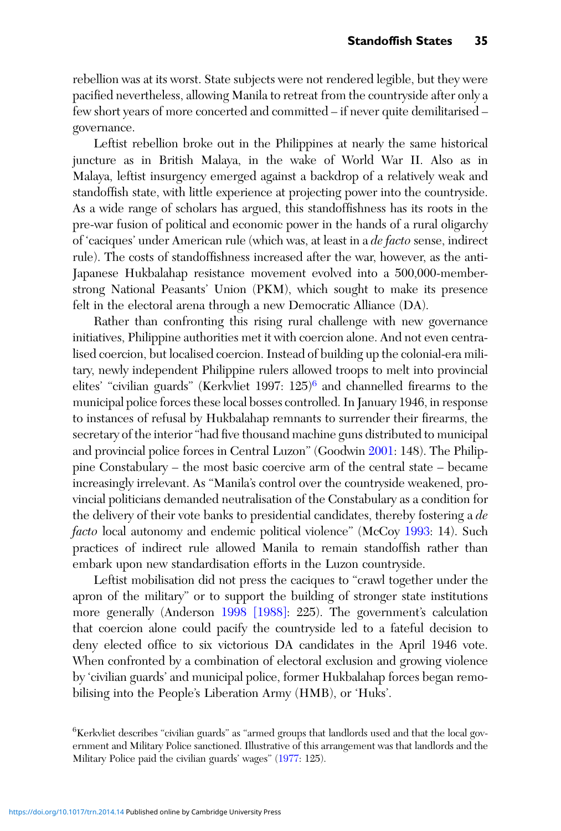rebellion was at its worst. State subjects were not rendered legible, but they were pacified nevertheless, allowing Manila to retreat from the countryside after only a few short years of more concerted and committed – if never quite demilitarised – governance.

Leftist rebellion broke out in the Philippines at nearly the same historical juncture as in British Malaya, in the wake of World War II. Also as in Malaya, leftist insurgency emerged against a backdrop of a relatively weak and standoffish state, with little experience at projecting power into the countryside. As a wide range of scholars has argued, this standoffishness has its roots in the pre-war fusion of political and economic power in the hands of a rural oligarchy of 'caciques' under American rule (which was, at least in a de facto sense, indirect rule). The costs of standoffishness increased after the war, however, as the anti-Japanese Hukbalahap resistance movement evolved into a 500,000-memberstrong National Peasants' Union (PKM), which sought to make its presence felt in the electoral arena through a new Democratic Alliance (DA).

Rather than confronting this rising rural challenge with new governance initiatives, Philippine authorities met it with coercion alone. And not even centralised coercion, but localised coercion. Instead of building up the colonial-era military, newly independent Philippine rulers allowed troops to melt into provincial elites' "civilian guards" (Kerkvliet 1997: 125)<sup>6</sup> and channelled firearms to the municipal police forces these local bosses controlled. In January 1946, in response to instances of refusal by Hukbalahap remnants to surrender their firearms, the secretary of the interior "had five thousand machine guns distributed to municipal and provincial police forces in Central Luzon" (Goodwin [2001](#page-18-0): 148). The Philippine Constabulary – the most basic coercive arm of the central state – became increasingly irrelevant. As "Manila's control over the countryside weakened, provincial politicians demanded neutralisation of the Constabulary as a condition for the delivery of their vote banks to presidential candidates, thereby fostering a *de* facto local autonomy and endemic political violence" (McCoy [1993:](#page-18-0) 14). Such practices of indirect rule allowed Manila to remain standoffish rather than embark upon new standardisation efforts in the Luzon countryside.

Leftist mobilisation did not press the caciques to "crawl together under the apron of the military" or to support the building of stronger state institutions more generally (Anderson [1998 \[1988\]:](#page-17-0) 225). The government's calculation that coercion alone could pacify the countryside led to a fateful decision to deny elected office to six victorious DA candidates in the April 1946 vote. When confronted by a combination of electoral exclusion and growing violence by 'civilian guards' and municipal police, former Hukbalahap forces began remobilising into the People's Liberation Army (HMB), or 'Huks'.

<sup>&</sup>lt;sup>6</sup>Kerkvliet describes "civilian guards" as "armed groups that landlords used and that the local government and Military Police sanctioned. Illustrative of this arrangement was that landlords and the Military Police paid the civilian guards' wages" [\(1977](#page-18-0): 125).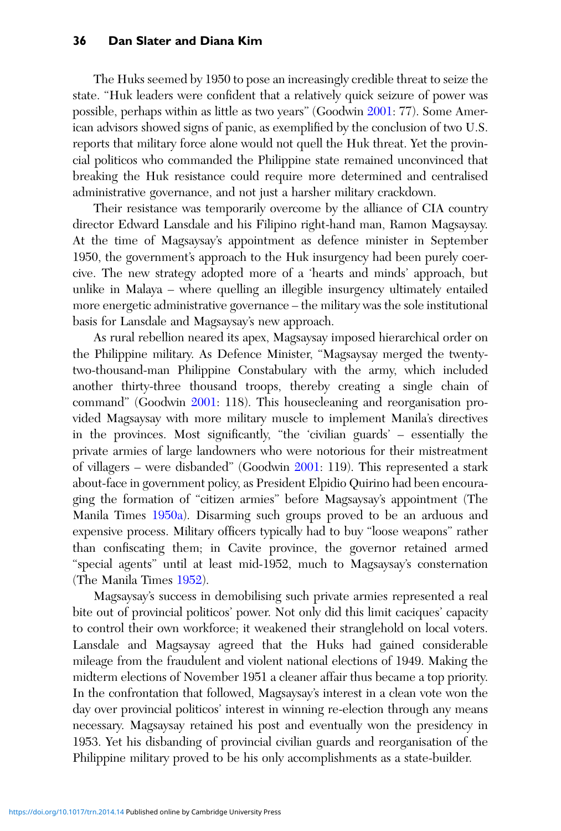The Huks seemed by 1950 to pose an increasingly credible threat to seize the state. "Huk leaders were confident that a relatively quick seizure of power was possible, perhaps within as little as two years" (Goodwin [2001](#page-18-0): 77). Some American advisors showed signs of panic, as exemplified by the conclusion of two U.S. reports that military force alone would not quell the Huk threat. Yet the provincial politicos who commanded the Philippine state remained unconvinced that breaking the Huk resistance could require more determined and centralised administrative governance, and not just a harsher military crackdown.

Their resistance was temporarily overcome by the alliance of CIA country director Edward Lansdale and his Filipino right-hand man, Ramon Magsaysay. At the time of Magsaysay's appointment as defence minister in September 1950, the government's approach to the Huk insurgency had been purely coercive. The new strategy adopted more of a 'hearts and minds' approach, but unlike in Malaya – where quelling an illegible insurgency ultimately entailed more energetic administrative governance – the military was the sole institutional basis for Lansdale and Magsaysay's new approach.

As rural rebellion neared its apex, Magsaysay imposed hierarchical order on the Philippine military. As Defence Minister, "Magsaysay merged the twentytwo-thousand-man Philippine Constabulary with the army, which included another thirty-three thousand troops, thereby creating a single chain of command" (Goodwin [2001:](#page-18-0) 118). This housecleaning and reorganisation provided Magsaysay with more military muscle to implement Manila's directives in the provinces. Most significantly, "the 'civilian guards' – essentially the private armies of large landowners who were notorious for their mistreatment of villagers – were disbanded" (Goodwin [2001](#page-18-0): 119). This represented a stark about-face in government policy, as President Elpidio Quirino had been encouraging the formation of "citizen armies" before Magsaysay's appointment (The Manila Times [1950a](#page-19-0)). Disarming such groups proved to be an arduous and expensive process. Military officers typically had to buy "loose weapons" rather than confiscating them; in Cavite province, the governor retained armed "special agents" until at least mid-1952, much to Magsaysay's consternation (The Manila Times [1952](#page-19-0)).

Magsaysay's success in demobilising such private armies represented a real bite out of provincial politicos' power. Not only did this limit caciques' capacity to control their own workforce; it weakened their stranglehold on local voters. Lansdale and Magsaysay agreed that the Huks had gained considerable mileage from the fraudulent and violent national elections of 1949. Making the midterm elections of November 1951 a cleaner affair thus became a top priority. In the confrontation that followed, Magsaysay's interest in a clean vote won the day over provincial politicos' interest in winning re-election through any means necessary. Magsaysay retained his post and eventually won the presidency in 1953. Yet his disbanding of provincial civilian guards and reorganisation of the Philippine military proved to be his only accomplishments as a state-builder.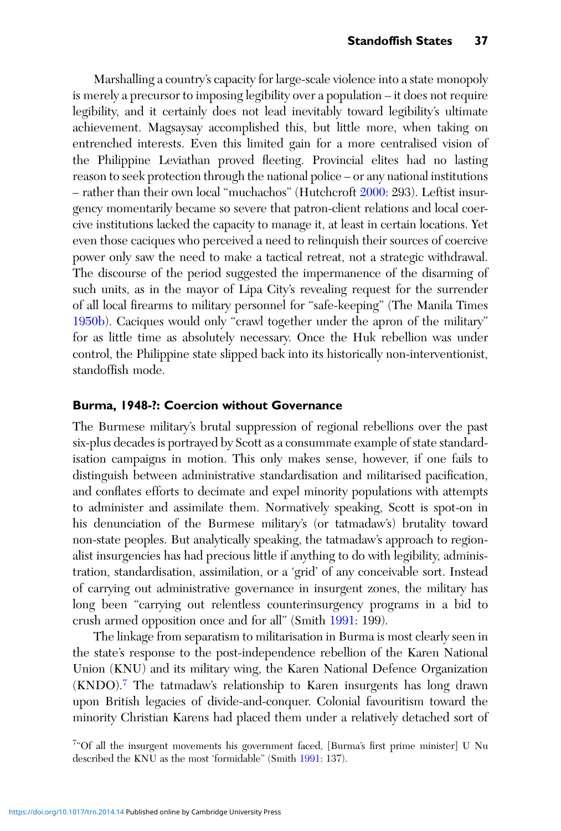Marshalling a country's capacity for large-scale violence into a state monopoly is merely a precursor to imposing legibility over a population – it does not require legibility, and it certainly does not lead inevitably toward legibility's ultimate achievement. Magsaysay accomplished this, but little more, when taking on entrenched interests. Even this limited gain for a more centralised vision of the Philippine Leviathan proved fleeting. Provincial elites had no lasting reason to seek protection through the national police – or any national institutions – rather than their own local "muchachos" (Hutchcroft [2000:](#page-18-0) 293). Leftist insurgency momentarily became so severe that patron-client relations and local coercive institutions lacked the capacity to manage it, at least in certain locations. Yet even those caciques who perceived a need to relinquish their sources of coercive power only saw the need to make a tactical retreat, not a strategic withdrawal. The discourse of the period suggested the impermanence of the disarming of such units, as in the mayor of Lipa City's revealing request for the surrender of all local firearms to military personnel for "safe-keeping" (The Manila Times [1950b\)](#page-19-0). Caciques would only "crawl together under the apron of the military" for as little time as absolutely necessary. Once the Huk rebellion was under control, the Philippine state slipped back into its historically non-interventionist, standoffish mode.

#### Burma, 1948-?: Coercion without Governance

The Burmese military's brutal suppression of regional rebellions over the past six-plus decades is portrayed by Scott as a consummate example of state standardisation campaigns in motion. This only makes sense, however, if one fails to distinguish between administrative standardisation and militarised pacification, and conflates efforts to decimate and expel minority populations with attempts to administer and assimilate them. Normatively speaking, Scott is spot-on in his denunciation of the Burmese military's (or tatmadaw's) brutality toward non-state peoples. But analytically speaking, the tatmadaw's approach to regionalist insurgencies has had precious little if anything to do with legibility, administration, standardisation, assimilation, or a 'grid' of any conceivable sort. Instead of carrying out administrative governance in insurgent zones, the military has long been "carrying out relentless counterinsurgency programs in a bid to crush armed opposition once and for all" (Smith [1991:](#page-19-0) 199).

The linkage from separatism to militarisation in Burma is most clearly seen in the state's response to the post-independence rebellion of the Karen National Union (KNU) and its military wing, the Karen National Defence Organization (KNDO).<sup>7</sup> The tatmadaw's relationship to Karen insurgents has long drawn upon British legacies of divide-and-conquer. Colonial favouritism toward the minority Christian Karens had placed them under a relatively detached sort of

<sup>&</sup>lt;sup>7</sup>"Of all the insurgent movements his government faced, [Burma's first prime minister] U Nu described the KNU as the most 'formidable" (Smith [1991:](#page-19-0) 137).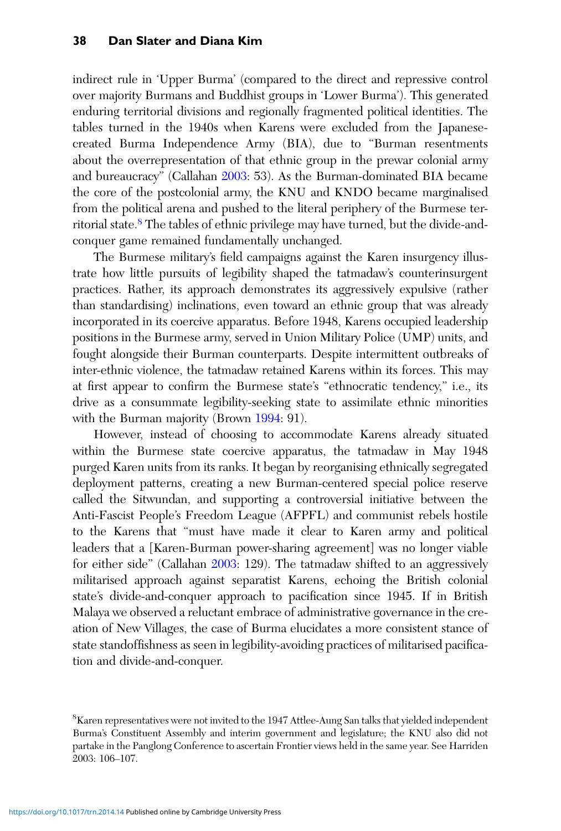indirect rule in 'Upper Burma' (compared to the direct and repressive control over majority Burmans and Buddhist groups in 'Lower Burma'). This generated enduring territorial divisions and regionally fragmented political identities. The tables turned in the 1940s when Karens were excluded from the Japanesecreated Burma Independence Army (BIA), due to "Burman resentments about the overrepresentation of that ethnic group in the prewar colonial army and bureaucracy" (Callahan [2003](#page-18-0): 53). As the Burman-dominated BIA became the core of the postcolonial army, the KNU and KNDO became marginalised from the political arena and pushed to the literal periphery of the Burmese territorial state.<sup>8</sup> The tables of ethnic privilege may have turned, but the divide-andconquer game remained fundamentally unchanged.

The Burmese military's field campaigns against the Karen insurgency illustrate how little pursuits of legibility shaped the tatmadaw's counterinsurgent practices. Rather, its approach demonstrates its aggressively expulsive (rather than standardising) inclinations, even toward an ethnic group that was already incorporated in its coercive apparatus. Before 1948, Karens occupied leadership positions in the Burmese army, served in Union Military Police (UMP) units, and fought alongside their Burman counterparts. Despite intermittent outbreaks of inter-ethnic violence, the tatmadaw retained Karens within its forces. This may at first appear to confirm the Burmese state's "ethnocratic tendency," i.e., its drive as a consummate legibility-seeking state to assimilate ethnic minorities with the Burman majority (Brown [1994:](#page-18-0) 91).

However, instead of choosing to accommodate Karens already situated within the Burmese state coercive apparatus, the tatmadaw in May 1948 purged Karen units from its ranks. It began by reorganising ethnically segregated deployment patterns, creating a new Burman-centered special police reserve called the Sitwundan, and supporting a controversial initiative between the Anti-Fascist People's Freedom League (AFPFL) and communist rebels hostile to the Karens that "must have made it clear to Karen army and political leaders that a [Karen-Burman power-sharing agreement] was no longer viable for either side" (Callahan [2003](#page-18-0): 129). The tatmadaw shifted to an aggressively militarised approach against separatist Karens, echoing the British colonial state's divide-and-conquer approach to pacification since 1945. If in British Malaya we observed a reluctant embrace of administrative governance in the creation of New Villages, the case of Burma elucidates a more consistent stance of state standoffishness as seen in legibility-avoiding practices of militarised pacification and divide-and-conquer.

 ${\rm ^8}$ Karen representatives were not invited to the 1947 Attlee-Aung San talks that yielded independent Burma's Constituent Assembly and interim government and legislature; the KNU also did not partake in the Panglong Conference to ascertain Frontier views held in the same year. See Harriden 2003: 106–107.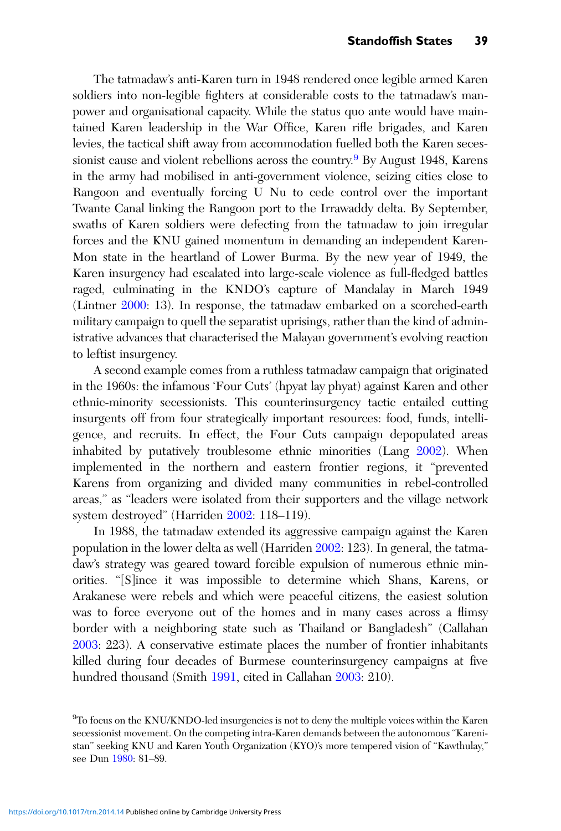The tatmadaw's anti-Karen turn in 1948 rendered once legible armed Karen soldiers into non-legible fighters at considerable costs to the tatmadaw's manpower and organisational capacity. While the status quo ante would have maintained Karen leadership in the War Office, Karen rifle brigades, and Karen levies, the tactical shift away from accommodation fuelled both the Karen secessionist cause and violent rebellions across the country.<sup>9</sup> By August 1948, Karens in the army had mobilised in anti-government violence, seizing cities close to Rangoon and eventually forcing U Nu to cede control over the important Twante Canal linking the Rangoon port to the Irrawaddy delta. By September, swaths of Karen soldiers were defecting from the tatmadaw to join irregular forces and the KNU gained momentum in demanding an independent Karen-Mon state in the heartland of Lower Burma. By the new year of 1949, the Karen insurgency had escalated into large-scale violence as full-fledged battles raged, culminating in the KNDO's capture of Mandalay in March 1949 (Lintner [2000:](#page-18-0) 13). In response, the tatmadaw embarked on a scorched-earth military campaign to quell the separatist uprisings, rather than the kind of administrative advances that characterised the Malayan government's evolving reaction to leftist insurgency.

A second example comes from a ruthless tatmadaw campaign that originated in the 1960s: the infamous 'Four Cuts' (hpyat lay phyat) against Karen and other ethnic-minority secessionists. This counterinsurgency tactic entailed cutting insurgents off from four strategically important resources: food, funds, intelligence, and recruits. In effect, the Four Cuts campaign depopulated areas inhabited by putatively troublesome ethnic minorities (Lang [2002\)](#page-18-0). When implemented in the northern and eastern frontier regions, it "prevented Karens from organizing and divided many communities in rebel-controlled areas," as "leaders were isolated from their supporters and the village network system destroyed" (Harriden [2002:](#page-18-0) 118–119).

In 1988, the tatmadaw extended its aggressive campaign against the Karen population in the lower delta as well (Harriden [2002](#page-18-0): 123). In general, the tatmadaw's strategy was geared toward forcible expulsion of numerous ethnic minorities. "[S]ince it was impossible to determine which Shans, Karens, or Arakanese were rebels and which were peaceful citizens, the easiest solution was to force everyone out of the homes and in many cases across a flimsy border with a neighboring state such as Thailand or Bangladesh" (Callahan [2003:](#page-18-0) 223). A conservative estimate places the number of frontier inhabitants killed during four decades of Burmese counterinsurgency campaigns at five hundred thousand (Smith [1991,](#page-19-0) cited in Callahan [2003:](#page-18-0) 210).

<sup>&</sup>lt;sup>9</sup>To focus on the KNU/KNDO-led insurgencies is not to deny the multiple voices within the Karen secessionist movement. On the competing intra-Karen demands between the autonomous "Karenistan" seeking KNU and Karen Youth Organization (KYO)'s more tempered vision of "Kawthulay," see Dun [1980](#page-18-0): 81–89.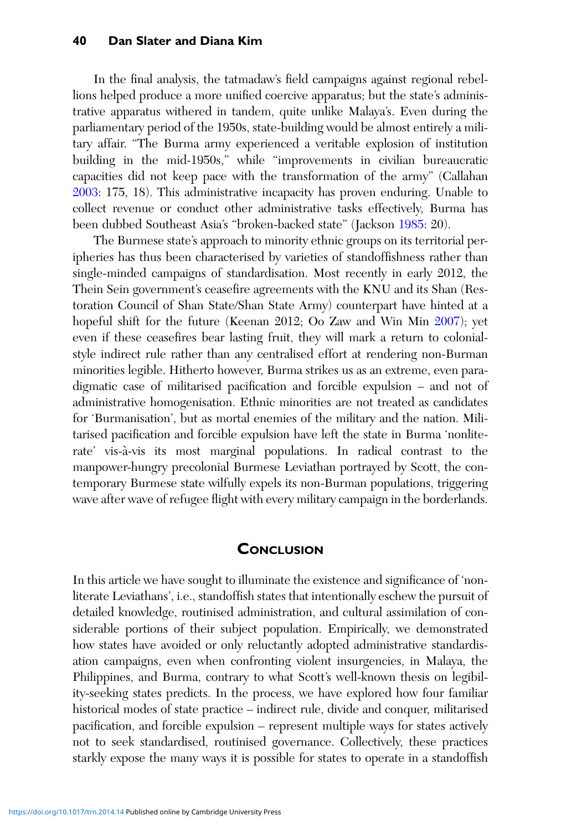In the final analysis, the tatmadaw's field campaigns against regional rebellions helped produce a more unified coercive apparatus; but the state's administrative apparatus withered in tandem, quite unlike Malaya's. Even during the parliamentary period of the 1950s, state-building would be almost entirely a military affair. "The Burma army experienced a veritable explosion of institution building in the mid-1950s," while "improvements in civilian bureaucratic capacities did not keep pace with the transformation of the army" (Callahan [2003:](#page-18-0) 175, 18). This administrative incapacity has proven enduring. Unable to collect revenue or conduct other administrative tasks effectively, Burma has been dubbed Southeast Asia's "broken-backed state" (Jackson [1985](#page-18-0): 20).

The Burmese state's approach to minority ethnic groups on its territorial peripheries has thus been characterised by varieties of standoffishness rather than single-minded campaigns of standardisation. Most recently in early 2012, the Thein Sein government's ceasefire agreements with the KNU and its Shan (Restoration Council of Shan State/Shan State Army) counterpart have hinted at a hopeful shift for the future (Keenan 2012; Oo Zaw and Win Min [2007\)](#page-19-0); yet even if these ceasefires bear lasting fruit, they will mark a return to colonialstyle indirect rule rather than any centralised effort at rendering non-Burman minorities legible. Hitherto however, Burma strikes us as an extreme, even paradigmatic case of militarised pacification and forcible expulsion – and not of administrative homogenisation. Ethnic minorities are not treated as candidates for 'Burmanisation', but as mortal enemies of the military and the nation. Militarised pacification and forcible expulsion have left the state in Burma 'nonliterate' vis-à-vis its most marginal populations. In radical contrast to the manpower-hungry precolonial Burmese Leviathan portrayed by Scott, the contemporary Burmese state wilfully expels its non-Burman populations, triggering wave after wave of refugee flight with every military campaign in the borderlands.

#### **CONCLUSION**

In this article we have sought to illuminate the existence and significance of 'nonliterate Leviathans', i.e., standoffish states that intentionally eschew the pursuit of detailed knowledge, routinised administration, and cultural assimilation of considerable portions of their subject population. Empirically, we demonstrated how states have avoided or only reluctantly adopted administrative standardisation campaigns, even when confronting violent insurgencies, in Malaya, the Philippines, and Burma, contrary to what Scott's well-known thesis on legibility-seeking states predicts. In the process, we have explored how four familiar historical modes of state practice – indirect rule, divide and conquer, militarised pacification, and forcible expulsion – represent multiple ways for states actively not to seek standardised, routinised governance. Collectively, these practices starkly expose the many ways it is possible for states to operate in a standoffish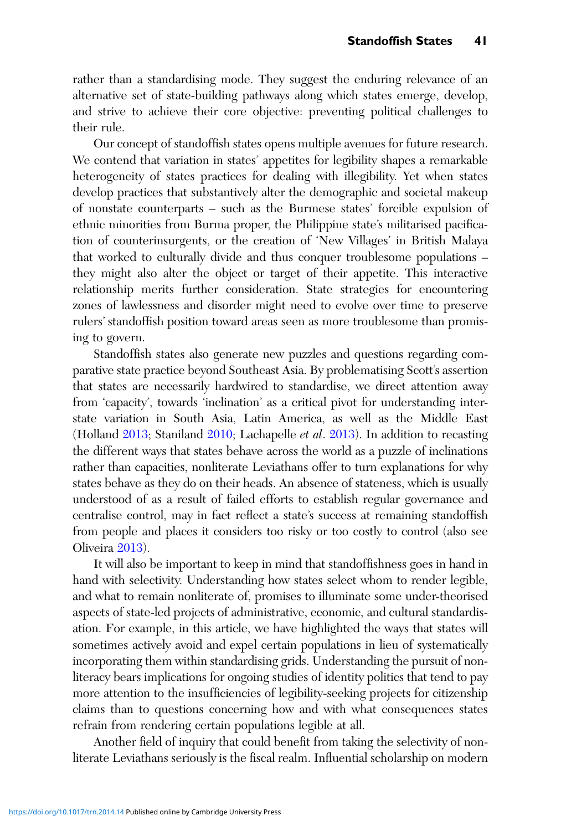rather than a standardising mode. They suggest the enduring relevance of an alternative set of state-building pathways along which states emerge, develop, and strive to achieve their core objective: preventing political challenges to their rule.

Our concept of standoffish states opens multiple avenues for future research. We contend that variation in states' appetites for legibility shapes a remarkable heterogeneity of states practices for dealing with illegibility. Yet when states develop practices that substantively alter the demographic and societal makeup of nonstate counterparts – such as the Burmese states' forcible expulsion of ethnic minorities from Burma proper, the Philippine state's militarised pacification of counterinsurgents, or the creation of 'New Villages' in British Malaya that worked to culturally divide and thus conquer troublesome populations – they might also alter the object or target of their appetite. This interactive relationship merits further consideration. State strategies for encountering zones of lawlessness and disorder might need to evolve over time to preserve rulers' standoffish position toward areas seen as more troublesome than promising to govern.

Standoffish states also generate new puzzles and questions regarding comparative state practice beyond Southeast Asia. By problematising Scott's assertion that states are necessarily hardwired to standardise, we direct attention away from 'capacity', towards 'inclination' as a critical pivot for understanding interstate variation in South Asia, Latin America, as well as the Middle East (Holland [2013](#page-18-0); Staniland [2010;](#page-19-0) Lachapelle et al. [2013\)](#page-18-0). In addition to recasting the different ways that states behave across the world as a puzzle of inclinations rather than capacities, nonliterate Leviathans offer to turn explanations for why states behave as they do on their heads. An absence of stateness, which is usually understood of as a result of failed efforts to establish regular governance and centralise control, may in fact reflect a state's success at remaining standoffish from people and places it considers too risky or too costly to control (also see Oliveira [2013\)](#page-19-0).

It will also be important to keep in mind that standoffishness goes in hand in hand with selectivity. Understanding how states select whom to render legible, and what to remain nonliterate of, promises to illuminate some under-theorised aspects of state-led projects of administrative, economic, and cultural standardisation. For example, in this article, we have highlighted the ways that states will sometimes actively avoid and expel certain populations in lieu of systematically incorporating them within standardising grids. Understanding the pursuit of nonliteracy bears implications for ongoing studies of identity politics that tend to pay more attention to the insufficiencies of legibility-seeking projects for citizenship claims than to questions concerning how and with what consequences states refrain from rendering certain populations legible at all.

Another field of inquiry that could benefit from taking the selectivity of nonliterate Leviathans seriously is the fiscal realm. Influential scholarship on modern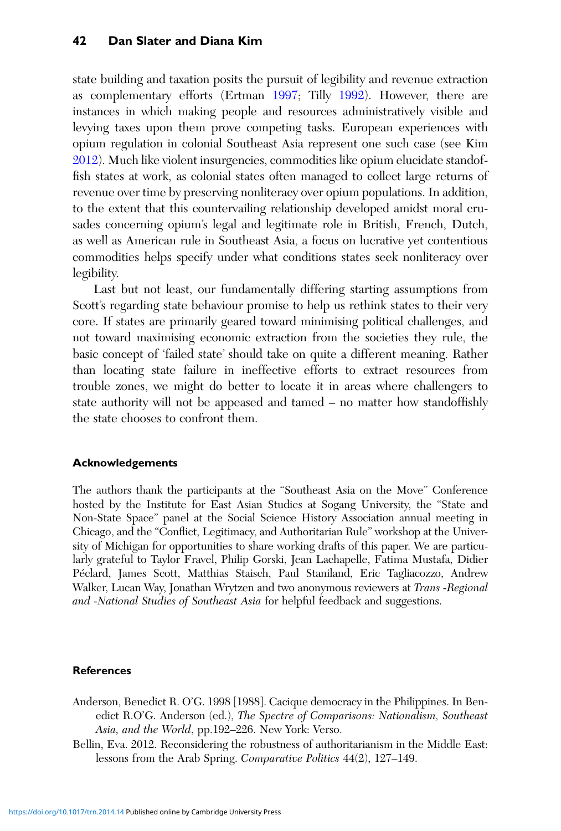<span id="page-17-0"></span>state building and taxation posits the pursuit of legibility and revenue extraction as complementary efforts (Ertman [1997](#page-18-0); Tilly [1992\)](#page-19-0). However, there are instances in which making people and resources administratively visible and levying taxes upon them prove competing tasks. European experiences with opium regulation in colonial Southeast Asia represent one such case (see Kim [2012\)](#page-18-0). Much like violent insurgencies, commodities like opium elucidate standoffish states at work, as colonial states often managed to collect large returns of revenue over time by preserving nonliteracy over opium populations. In addition, to the extent that this countervailing relationship developed amidst moral crusades concerning opium's legal and legitimate role in British, French, Dutch, as well as American rule in Southeast Asia, a focus on lucrative yet contentious commodities helps specify under what conditions states seek nonliteracy over legibility.

Last but not least, our fundamentally differing starting assumptions from Scott's regarding state behaviour promise to help us rethink states to their very core. If states are primarily geared toward minimising political challenges, and not toward maximising economic extraction from the societies they rule, the basic concept of 'failed state' should take on quite a different meaning. Rather than locating state failure in ineffective efforts to extract resources from trouble zones, we might do better to locate it in areas where challengers to state authority will not be appeased and tamed – no matter how standoffishly the state chooses to confront them.

#### Acknowledgements

The authors thank the participants at the "Southeast Asia on the Move" Conference hosted by the Institute for East Asian Studies at Sogang University, the "State and Non-State Space" panel at the Social Science History Association annual meeting in Chicago, and the "Conflict, Legitimacy, and Authoritarian Rule" workshop at the University of Michigan for opportunities to share working drafts of this paper. We are particularly grateful to Taylor Fravel, Philip Gorski, Jean Lachapelle, Fatima Mustafa, Didier Péclard, James Scott, Matthias Staisch, Paul Staniland, Eric Tagliacozzo, Andrew Walker, Lucan Way, Jonathan Wrytzen and two anonymous reviewers at Trans -Regional and -National Studies of Southeast Asia for helpful feedback and suggestions.

#### References

- Anderson, Benedict R. O'G. 1998 [1988]. Cacique democracy in the Philippines. In Benedict R.O'G. Anderson (ed.), The Spectre of Comparisons: Nationalism, Southeast Asia, and the World, pp.192–226. New York: Verso.
- Bellin, Eva. 2012. Reconsidering the robustness of authoritarianism in the Middle East: lessons from the Arab Spring. Comparative Politics 44(2), 127–149.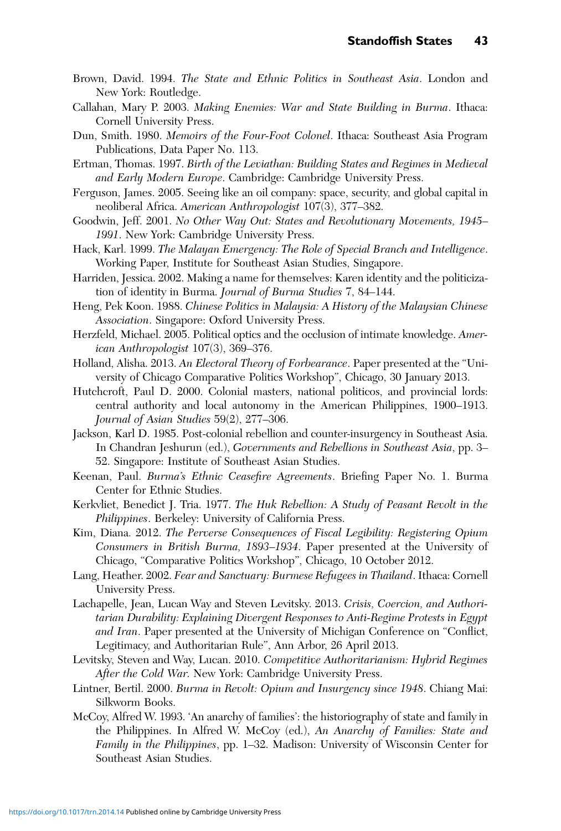- <span id="page-18-0"></span>Brown, David. 1994. The State and Ethnic Politics in Southeast Asia. London and New York: Routledge.
- Callahan, Mary P. 2003. Making Enemies: War and State Building in Burma. Ithaca: Cornell University Press.
- Dun, Smith. 1980. Memoirs of the Four-Foot Colonel. Ithaca: Southeast Asia Program Publications, Data Paper No. 113.
- Ertman, Thomas. 1997. Birth of the Leviathan: Building States and Regimes in Medieval and Early Modern Europe. Cambridge: Cambridge University Press.
- Ferguson, James. 2005. Seeing like an oil company: space, security, and global capital in neoliberal Africa. American Anthropologist 107(3), 377–382.
- Goodwin, Jeff. 2001. No Other Way Out: States and Revolutionary Movements, 1945– 1991. New York: Cambridge University Press.
- Hack, Karl. 1999. The Malayan Emergency: The Role of Special Branch and Intelligence. Working Paper, Institute for Southeast Asian Studies, Singapore.
- Harriden, Jessica. 2002. Making a name for themselves: Karen identity and the politicization of identity in Burma. Journal of Burma Studies 7, 84–144.
- Heng, Pek Koon. 1988. Chinese Politics in Malaysia: A History of the Malaysian Chinese Association. Singapore: Oxford University Press.
- Herzfeld, Michael. 2005. Political optics and the occlusion of intimate knowledge. American Anthropologist 107(3), 369–376.
- Holland, Alisha. 2013. An Electoral Theory of Forbearance. Paper presented at the "University of Chicago Comparative Politics Workshop", Chicago, 30 January 2013.
- Hutchcroft, Paul D. 2000. Colonial masters, national politicos, and provincial lords: central authority and local autonomy in the American Philippines, 1900–1913. Journal of Asian Studies 59(2), 277–306.
- Jackson, Karl D. 1985. Post-colonial rebellion and counter-insurgency in Southeast Asia. In Chandran Jeshurun (ed.), Governments and Rebellions in Southeast Asia, pp. 3– 52. Singapore: Institute of Southeast Asian Studies.
- Keenan, Paul. Burma's Ethnic Ceasefire Agreements. Briefing Paper No. 1. Burma Center for Ethnic Studies.
- Kerkvliet, Benedict J. Tria. 1977. The Huk Rebellion: A Study of Peasant Revolt in the Philippines. Berkeley: University of California Press.
- Kim, Diana. 2012. The Perverse Consequences of Fiscal Legibility: Registering Opium Consumers in British Burma, 1893–1934. Paper presented at the University of Chicago, "Comparative Politics Workshop", Chicago, 10 October 2012.
- Lang, Heather. 2002. Fear and Sanctuary: Burmese Refugees in Thailand. Ithaca: Cornell University Press.
- Lachapelle, Jean, Lucan Way and Steven Levitsky. 2013. Crisis, Coercion, and Authoritarian Durability: Explaining Divergent Responses to Anti-Regime Protests in Egypt and Iran. Paper presented at the University of Michigan Conference on "Conflict, Legitimacy, and Authoritarian Rule", Ann Arbor, 26 April 2013.
- Levitsky, Steven and Way, Lucan. 2010. Competitive Authoritarianism: Hybrid Regimes After the Cold War. New York: Cambridge University Press.
- Lintner, Bertil. 2000. Burma in Revolt: Opium and Insurgency since 1948. Chiang Mai: Silkworm Books.
- McCoy, Alfred W. 1993. 'An anarchy of families': the historiography of state and family in the Philippines. In Alfred W. McCoy (ed.), An Anarchy of Families: State and Family in the Philippines, pp. 1–32. Madison: University of Wisconsin Center for Southeast Asian Studies.